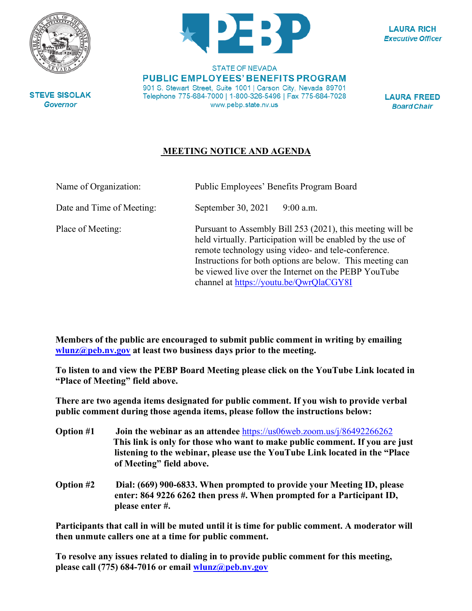



**LAURA RICH Executive Officer** 

**STATE OF NEVADA PUBLIC EMPLOYEES' BENEFITS PROGRAM** 901 S. Stewart Street, Suite 1001 | Carson City, Nevada 89701 Telephone 775-684-7000 | 1-800-326-5496 | Fax 775-684-7028 www.pebp.state.nv.us

**LAURA FREED Board Chair** 

## **MEETING NOTICE AND AGENDA**

| Name of Organization:     | Public Employees' Benefits Program Board                                                                                                                                                                                                                                                                                                         |
|---------------------------|--------------------------------------------------------------------------------------------------------------------------------------------------------------------------------------------------------------------------------------------------------------------------------------------------------------------------------------------------|
| Date and Time of Meeting: | September 30, 2021<br>$9:00$ a.m.                                                                                                                                                                                                                                                                                                                |
| Place of Meeting:         | Pursuant to Assembly Bill 253 (2021), this meeting will be<br>held virtually. Participation will be enabled by the use of<br>remote technology using video- and tele-conference.<br>Instructions for both options are below. This meeting can<br>be viewed live over the Internet on the PEBP YouTube<br>channel at https://youtu.be/QwrQlaCGY8I |

**Members of the public are encouraged to submit public comment in writing by emailing [wlunz@peb.nv.gov](mailto:wlunz@peb.nv.gov) at least two business days prior to the meeting.**

**To listen to and view the PEBP Board Meeting please click on the YouTube Link located in "Place of Meeting" field above.**

**There are two agenda items designated for public comment. If you wish to provide verbal public comment during those agenda items, please follow the instructions below:**

- **Option #1 Join the webinar as an attendee** <https://us06web.zoom.us/j/86492266262> **This link is only for those who want to make public comment. If you are just listening to the webinar, please use the YouTube Link located in the "Place of Meeting" field above.**
- **Option #2 Dial: (669) 900-6833. When prompted to provide your Meeting ID, please enter: 864 9226 6262 then press #. When prompted for a Participant ID, please enter #.**

**Participants that call in will be muted until it is time for public comment. A moderator will then unmute callers one at a time for public comment.**

**To resolve any issues related to dialing in to provide public comment for this meeting, please call (775) 684-7016 or email [wlunz@peb.nv.gov](mailto:wlunz@peb.nv.gov)**

**STEVE SISOLAK Governor**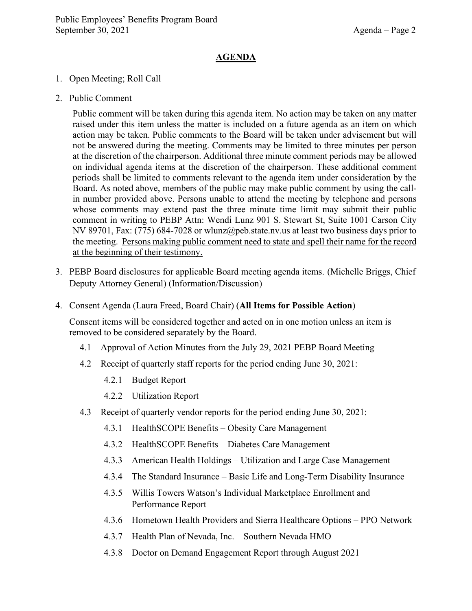## **AGENDA**

- 1. Open Meeting; Roll Call
- 2. Public Comment

Public comment will be taken during this agenda item. No action may be taken on any matter raised under this item unless the matter is included on a future agenda as an item on which action may be taken. Public comments to the Board will be taken under advisement but will not be answered during the meeting. Comments may be limited to three minutes per person at the discretion of the chairperson. Additional three minute comment periods may be allowed on individual agenda items at the discretion of the chairperson. These additional comment periods shall be limited to comments relevant to the agenda item under consideration by the Board. As noted above, members of the public may make public comment by using the callin number provided above. Persons unable to attend the meeting by telephone and persons whose comments may extend past the three minute time limit may submit their public comment in writing to PEBP Attn: Wendi Lunz 901 S. Stewart St, Suite 1001 Carson City NV 89701, Fax: (775) 684-7028 or [wlunz@peb.state.nv.us](mailto:wlunz@peb.state.nv.us) at least two business days prior to the meeting. Persons making public comment need to state and spell their name for the record at the beginning of their testimony.

- 3. PEBP Board disclosures for applicable Board meeting agenda items. (Michelle Briggs, Chief Deputy Attorney General) (Information/Discussion)
- 4. Consent Agenda (Laura Freed, Board Chair) (**All Items for Possible Action**)

Consent items will be considered together and acted on in one motion unless an item is removed to be considered separately by the Board.

- 4.1 Approval of Action Minutes from the July 29, 2021 PEBP Board Meeting
- 4.2 Receipt of quarterly staff reports for the period ending June 30, 2021:
	- 4.2.1 Budget Report
	- 4.2.2 Utilization Report
- 4.3 Receipt of quarterly vendor reports for the period ending June 30, 2021:
	- 4.3.1 HealthSCOPE Benefits Obesity Care Management
	- 4.3.2 HealthSCOPE Benefits Diabetes Care Management
	- 4.3.3 American Health Holdings Utilization and Large Case Management
	- 4.3.4 The Standard Insurance Basic Life and Long-Term Disability Insurance
	- 4.3.5 Willis Towers Watson's Individual Marketplace Enrollment and Performance Report
	- 4.3.6 Hometown Health Providers and Sierra Healthcare Options PPO Network
	- 4.3.7 Health Plan of Nevada, Inc. Southern Nevada HMO
	- 4.3.8 Doctor on Demand Engagement Report through August 2021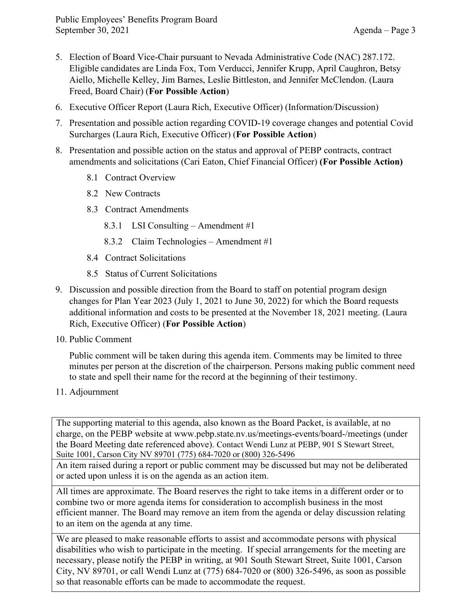- 5. Election of Board Vice-Chair pursuant to Nevada Administrative Code (NAC) 287.172. Eligible candidates are Linda Fox, Tom Verducci, Jennifer Krupp, April Caughron, Betsy Aiello, Michelle Kelley, Jim Barnes, Leslie Bittleston, and Jennifer McClendon. (Laura Freed, Board Chair) (**For Possible Action**)
- 6. Executive Officer Report (Laura Rich, Executive Officer) (Information/Discussion)
- 7. Presentation and possible action regarding COVID-19 coverage changes and potential Covid Surcharges (Laura Rich, Executive Officer) (**For Possible Action**)
- 8. Presentation and possible action on the status and approval of PEBP contracts, contract amendments and solicitations (Cari Eaton, Chief Financial Officer) **(For Possible Action)**
	- 8.1 Contract Overview
	- 8.2 New Contracts
	- 8.3 Contract Amendments
		- 8.3.1 LSI Consulting Amendment #1
		- 8.3.2 Claim Technologies Amendment #1
	- 8.4 Contract Solicitations
	- 8.5 Status of Current Solicitations
- 9. Discussion and possible direction from the Board to staff on potential program design changes for Plan Year 2023 (July 1, 2021 to June 30, 2022) for which the Board requests additional information and costs to be presented at the November 18, 2021 meeting. (Laura Rich, Executive Officer) (**For Possible Action**)
- 10. Public Comment

Public comment will be taken during this agenda item. Comments may be limited to three minutes per person at the discretion of the chairperson. Persons making public comment need to state and spell their name for the record at the beginning of their testimony.

11. Adjournment

The supporting material to this agenda, also known as the Board Packet, is available, at no charge, on the PEBP website at [www.pebp.state.nv.us/meetings-events/board-/meetings](http://www.pebp.state.nv.us/meetings-events/board-/meetings) (under the Board Meeting date referenced above). Contact Wendi Lunz at PEBP, 901 S Stewart Street, Suite 1001, Carson City NV 89701 (775) 684-7020 or (800) 326-5496

An item raised during a report or public comment may be discussed but may not be deliberated or acted upon unless it is on the agenda as an action item.

All times are approximate. The Board reserves the right to take items in a different order or to combine two or more agenda items for consideration to accomplish business in the most efficient manner. The Board may remove an item from the agenda or delay discussion relating to an item on the agenda at any time.

We are pleased to make reasonable efforts to assist and accommodate persons with physical disabilities who wish to participate in the meeting. If special arrangements for the meeting are necessary, please notify the PEBP in writing, at 901 South Stewart Street, Suite 1001, Carson City, NV 89701, or call Wendi Lunz at (775) 684-7020 or (800) 326-5496, as soon as possible so that reasonable efforts can be made to accommodate the request.